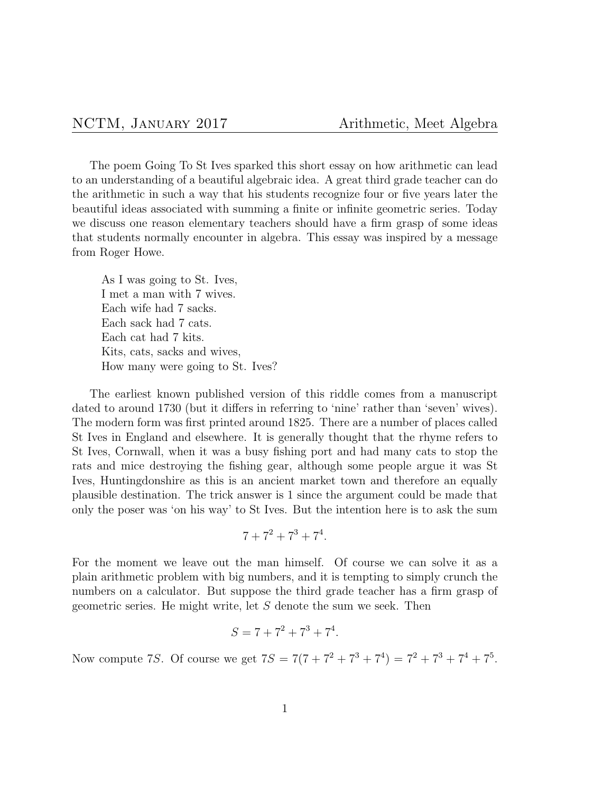The poem Going To St Ives sparked this short essay on how arithmetic can lead to an understanding of a beautiful algebraic idea. A great third grade teacher can do the arithmetic in such a way that his students recognize four or five years later the beautiful ideas associated with summing a finite or infinite geometric series. Today we discuss one reason elementary teachers should have a firm grasp of some ideas that students normally encounter in algebra. This essay was inspired by a message from Roger Howe.

As I was going to St. Ives, I met a man with 7 wives. Each wife had 7 sacks. Each sack had 7 cats. Each cat had 7 kits. Kits, cats, sacks and wives, How many were going to St. Ives?

The earliest known published version of this riddle comes from a manuscript dated to around 1730 (but it differs in referring to 'nine' rather than 'seven' wives). The modern form was first printed around 1825. There are a number of places called St Ives in England and elsewhere. It is generally thought that the rhyme refers to St Ives, Cornwall, when it was a busy fishing port and had many cats to stop the rats and mice destroying the fishing gear, although some people argue it was St Ives, Huntingdonshire as this is an ancient market town and therefore an equally plausible destination. The trick answer is 1 since the argument could be made that only the poser was 'on his way' to St Ives. But the intention here is to ask the sum

$$
7 + 7^2 + 7^3 + 7^4.
$$

For the moment we leave out the man himself. Of course we can solve it as a plain arithmetic problem with big numbers, and it is tempting to simply crunch the numbers on a calculator. But suppose the third grade teacher has a firm grasp of geometric series. He might write, let *S* denote the sum we seek. Then

$$
S = 7 + 7^2 + 7^3 + 7^4.
$$

Now compute 7*S*. Of course we get  $7S = 7(7 + 7^2 + 7^3 + 7^4) = 7^2 + 7^3 + 7^4 + 7^5$ .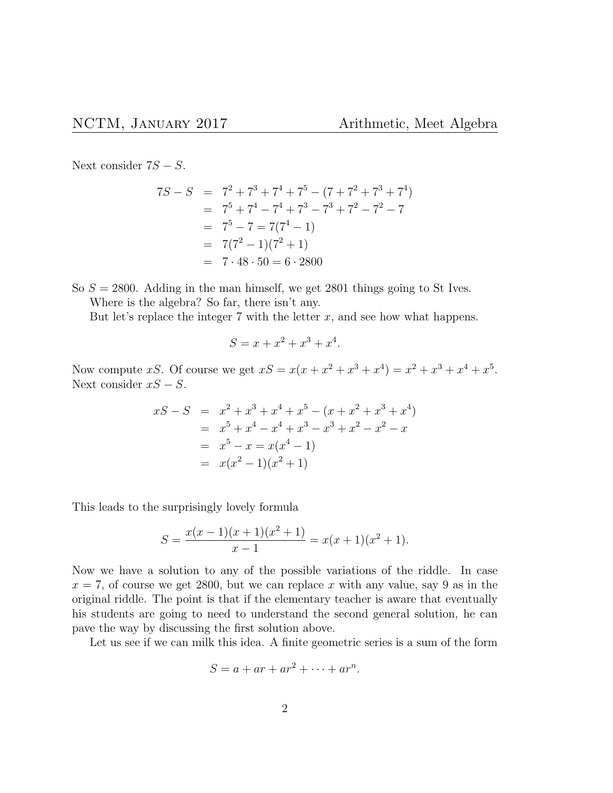Next consider 7*S − S*.

$$
7S - S = 72 + 73 + 74 + 75 - (7 + 72 + 73 + 74)
$$
  
= 7<sup>5</sup> + 7<sup>4</sup> - 7<sup>4</sup> + 7<sup>3</sup> - 7<sup>3</sup> + 7<sup>2</sup> - 7<sup>2</sup> - 7  
= 7<sup>5</sup> - 7 = 7(7<sup>4</sup> - 1)  
= 7(7<sup>2</sup> - 1)(7<sup>2</sup> + 1)  
= 7 \cdot 48 \cdot 50 = 6 \cdot 2800

So  $S = 2800$ . Adding in the man himself, we get 2801 things going to St Ives. Where is the algebra? So far, there isn't any.

But let's replace the integer  $7$  with the letter  $x$ , and see how what happens.

$$
S = x + x^2 + x^3 + x^4.
$$

Now compute *xS*. Of course we get  $xS = x(x + x^2 + x^3 + x^4) = x^2 + x^3 + x^4 + x^5$ . Next consider *xS − S*.

$$
xS - S = x2 + x3 + x4 + x5 - (x + x2 + x3 + x4)
$$
  
=  $x5 + x4 - x4 + x3 - x3 + x2 - x2 - x$   
=  $x5 - x = x(x4 - 1)$   
=  $x(x2 - 1)(x2 + 1)$ 

This leads to the surprisingly lovely formula

$$
S = \frac{x(x-1)(x+1)(x^2+1)}{x-1} = x(x+1)(x^2+1).
$$

Now we have a solution to any of the possible variations of the riddle. In case  $x = 7$ , of course we get 2800, but we can replace *x* with any value, say 9 as in the original riddle. The point is that if the elementary teacher is aware that eventually his students are going to need to understand the second general solution, he can pave the way by discussing the first solution above.

Let us see if we can milk this idea. A finite geometric series is a sum of the form

$$
S = a + ar + ar2 + \dots + arn.
$$